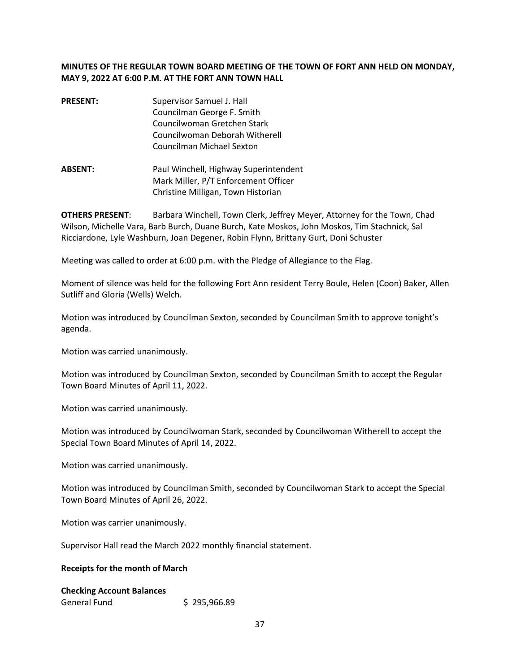# **MINUTES OF THE REGULAR TOWN BOARD MEETING OF THE TOWN OF FORT ANN HELD ON MONDAY, MAY 9, 2022 AT 6:00 P.M. AT THE FORT ANN TOWN HALL**

- **PRESENT:** Supervisor Samuel J. Hall Councilman George F. Smith Councilwoman Gretchen Stark Councilwoman Deborah Witherell Councilman Michael Sexton
- **ABSENT:** Paul Winchell, Highway Superintendent Mark Miller, P/T Enforcement Officer Christine Milligan, Town Historian

**OTHERS PRESENT**: Barbara Winchell, Town Clerk, Jeffrey Meyer, Attorney for the Town, Chad Wilson, Michelle Vara, Barb Burch, Duane Burch, Kate Moskos, John Moskos, Tim Stachnick, Sal Ricciardone, Lyle Washburn, Joan Degener, Robin Flynn, Brittany Gurt, Doni Schuster

Meeting was called to order at 6:00 p.m. with the Pledge of Allegiance to the Flag.

Moment of silence was held for the following Fort Ann resident Terry Boule, Helen (Coon) Baker, Allen Sutliff and Gloria (Wells) Welch.

Motion was introduced by Councilman Sexton, seconded by Councilman Smith to approve tonight's agenda.

Motion was carried unanimously.

Motion was introduced by Councilman Sexton, seconded by Councilman Smith to accept the Regular Town Board Minutes of April 11, 2022.

Motion was carried unanimously.

Motion was introduced by Councilwoman Stark, seconded by Councilwoman Witherell to accept the Special Town Board Minutes of April 14, 2022.

Motion was carried unanimously.

Motion was introduced by Councilman Smith, seconded by Councilwoman Stark to accept the Special Town Board Minutes of April 26, 2022.

Motion was carrier unanimously.

Supervisor Hall read the March 2022 monthly financial statement.

#### **Receipts for the month of March**

# **Checking Account Balances**  General Fund \$ 295,966.89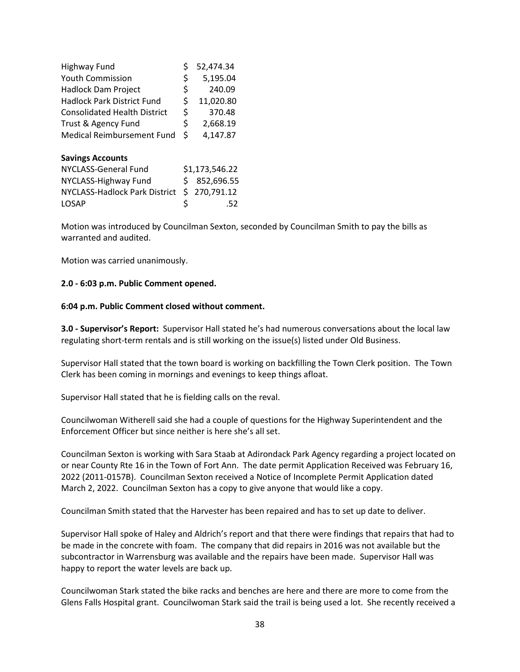| Highway Fund                         | \$             | 52,474.34  |
|--------------------------------------|----------------|------------|
| <b>Youth Commission</b>              | \$             | 5,195.04   |
| <b>Hadlock Dam Project</b>           | \$             | 240.09     |
| <b>Hadlock Park District Fund</b>    | \$             | 11,020.80  |
| <b>Consolidated Health District</b>  | \$             | 370.48     |
| Trust & Agency Fund                  | \$             | 2,668.19   |
| Medical Reimbursement Fund           | \$             | 4,147.87   |
| <b>Savings Accounts</b>              |                |            |
| NYCLASS-General Fund                 | \$1,173,546.22 |            |
| NYCLASS-Highway Fund                 | Ś              | 852,696.55 |
| <b>NYCLASS-Hadlock Park District</b> | Ś.             | 270,791.12 |
| LOSAP                                |                | .52        |

Motion was introduced by Councilman Sexton, seconded by Councilman Smith to pay the bills as warranted and audited.

Motion was carried unanimously.

#### **2.0 - 6:03 p.m. Public Comment opened.**

#### **6:04 p.m. Public Comment closed without comment.**

**3.0 - Supervisor's Report:** Supervisor Hall stated he's had numerous conversations about the local law regulating short-term rentals and is still working on the issue(s) listed under Old Business.

Supervisor Hall stated that the town board is working on backfilling the Town Clerk position. The Town Clerk has been coming in mornings and evenings to keep things afloat.

Supervisor Hall stated that he is fielding calls on the reval.

Councilwoman Witherell said she had a couple of questions for the Highway Superintendent and the Enforcement Officer but since neither is here she's all set.

Councilman Sexton is working with Sara Staab at Adirondack Park Agency regarding a project located on or near County Rte 16 in the Town of Fort Ann. The date permit Application Received was February 16, 2022 (2011-0157B). Councilman Sexton received a Notice of Incomplete Permit Application dated March 2, 2022. Councilman Sexton has a copy to give anyone that would like a copy.

Councilman Smith stated that the Harvester has been repaired and has to set up date to deliver.

Supervisor Hall spoke of Haley and Aldrich's report and that there were findings that repairs that had to be made in the concrete with foam. The company that did repairs in 2016 was not available but the subcontractor in Warrensburg was available and the repairs have been made. Supervisor Hall was happy to report the water levels are back up.

Councilwoman Stark stated the bike racks and benches are here and there are more to come from the Glens Falls Hospital grant. Councilwoman Stark said the trail is being used a lot. She recently received a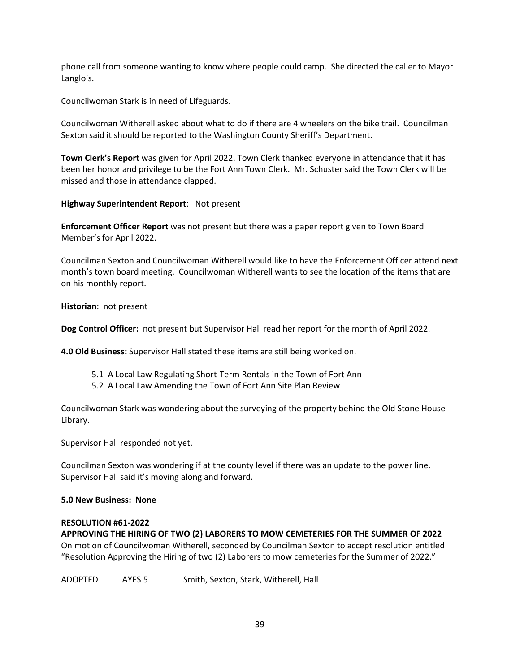phone call from someone wanting to know where people could camp. She directed the caller to Mayor Langlois.

Councilwoman Stark is in need of Lifeguards.

Councilwoman Witherell asked about what to do if there are 4 wheelers on the bike trail. Councilman Sexton said it should be reported to the Washington County Sheriff's Department.

**Town Clerk's Report** was given for April 2022. Town Clerk thanked everyone in attendance that it has been her honor and privilege to be the Fort Ann Town Clerk. Mr. Schuster said the Town Clerk will be missed and those in attendance clapped.

**Highway Superintendent Report**: Not present

**Enforcement Officer Report** was not present but there was a paper report given to Town Board Member's for April 2022.

Councilman Sexton and Councilwoman Witherell would like to have the Enforcement Officer attend next month's town board meeting. Councilwoman Witherell wants to see the location of the items that are on his monthly report.

**Historian**: not present

**Dog Control Officer:** not present but Supervisor Hall read her report for the month of April 2022.

**4.0 Old Business:** Supervisor Hall stated these items are still being worked on.

- 5.1 A Local Law Regulating Short-Term Rentals in the Town of Fort Ann
- 5.2 A Local Law Amending the Town of Fort Ann Site Plan Review

Councilwoman Stark was wondering about the surveying of the property behind the Old Stone House Library.

Supervisor Hall responded not yet.

Councilman Sexton was wondering if at the county level if there was an update to the power line. Supervisor Hall said it's moving along and forward.

## **5.0 New Business: None**

## **RESOLUTION #61-2022**

**APPROVING THE HIRING OF TWO (2) LABORERS TO MOW CEMETERIES FOR THE SUMMER OF 2022** 

On motion of Councilwoman Witherell, seconded by Councilman Sexton to accept resolution entitled "Resolution Approving the Hiring of two (2) Laborers to mow cemeteries for the Summer of 2022."

ADOPTED AYES 5 Smith, Sexton, Stark, Witherell, Hall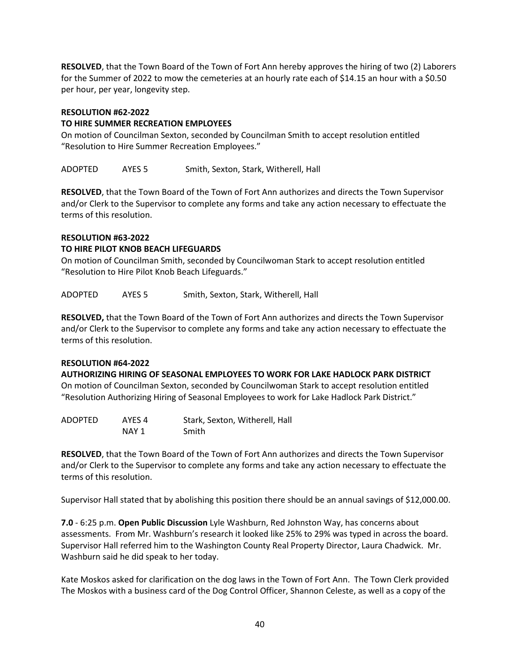**RESOLVED**, that the Town Board of the Town of Fort Ann hereby approves the hiring of two (2) Laborers for the Summer of 2022 to mow the cemeteries at an hourly rate each of \$14.15 an hour with a \$0.50 per hour, per year, longevity step.

#### **RESOLUTION #62-2022**

## **TO HIRE SUMMER RECREATION EMPLOYEES**

On motion of Councilman Sexton, seconded by Councilman Smith to accept resolution entitled "Resolution to Hire Summer Recreation Employees."

ADOPTED AYES 5 Smith, Sexton, Stark, Witherell, Hall

**RESOLVED**, that the Town Board of the Town of Fort Ann authorizes and directs the Town Supervisor and/or Clerk to the Supervisor to complete any forms and take any action necessary to effectuate the terms of this resolution.

# **RESOLUTION #63-2022 TO HIRE PILOT KNOB BEACH LIFEGUARDS**

On motion of Councilman Smith, seconded by Councilwoman Stark to accept resolution entitled "Resolution to Hire Pilot Knob Beach Lifeguards."

ADOPTED AYES 5 Smith, Sexton, Stark, Witherell, Hall

**RESOLVED,** that the Town Board of the Town of Fort Ann authorizes and directs the Town Supervisor and/or Clerk to the Supervisor to complete any forms and take any action necessary to effectuate the terms of this resolution.

## **RESOLUTION #64-2022**

**AUTHORIZING HIRING OF SEASONAL EMPLOYEES TO WORK FOR LAKE HADLOCK PARK DISTRICT**  On motion of Councilman Sexton, seconded by Councilwoman Stark to accept resolution entitled "Resolution Authorizing Hiring of Seasonal Employees to work for Lake Hadlock Park District."

ADOPTED AYES 4 Stark, Sexton, Witherell, Hall NAY 1 Smith

**RESOLVED**, that the Town Board of the Town of Fort Ann authorizes and directs the Town Supervisor and/or Clerk to the Supervisor to complete any forms and take any action necessary to effectuate the terms of this resolution.

Supervisor Hall stated that by abolishing this position there should be an annual savings of \$12,000.00.

**7.0** - 6:25 p.m. **Open Public Discussion** Lyle Washburn, Red Johnston Way, has concerns about assessments. From Mr. Washburn's research it looked like 25% to 29% was typed in across the board. Supervisor Hall referred him to the Washington County Real Property Director, Laura Chadwick. Mr. Washburn said he did speak to her today.

Kate Moskos asked for clarification on the dog laws in the Town of Fort Ann. The Town Clerk provided The Moskos with a business card of the Dog Control Officer, Shannon Celeste, as well as a copy of the